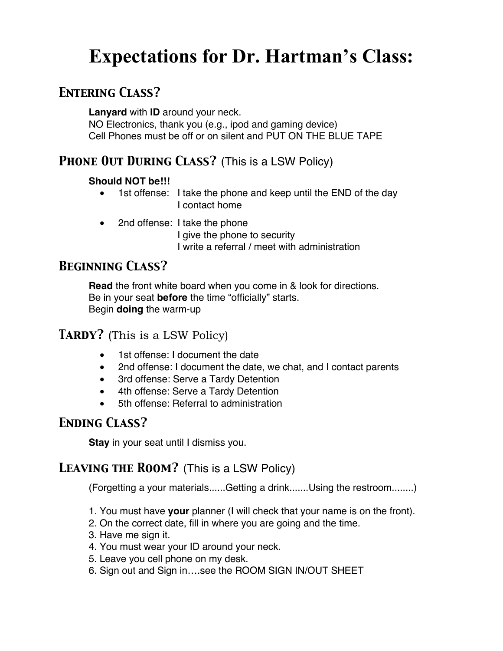# **Expectations for Dr. Hartman's Class:**

# *Entering Class?*

**Lanyard** with **ID** around your neck. NO Electronics, thank you (e.g., ipod and gaming device) Cell Phones must be off or on silent and PUT ON THE BLUE TAPE

# *Phone Out During Class?* (This is a LSW Policy)

#### **Should NOT be!!!**

- 1st offense: I take the phone and keep until the END of the day I contact home
- 2nd offense: I take the phone

I give the phone to security I write a referral / meet with administration

# *Beginning Class?*

**Read** the front white board when you come in & look for directions. Be in your seat **before** the time "officially" starts. Begin **doing** the warm-up

## *Tardy?* (This is a LSW Policy)

- 1st offense: I document the date
- 2nd offense: I document the date, we chat, and I contact parents
- 3rd offense: Serve a Tardy Detention
- 4th offense: Serve a Tardy Detention
- 5th offense: Referral to administration

# *Ending Class?*

**Stay** in your seat until I dismiss you.

## *Leaving the Room?* (This is a LSW Policy)

(Forgetting a your materials......Getting a drink.......Using the restroom........)

- 1. You must have **your** planner (I will check that your name is on the front).
- 2. On the correct date, fill in where you are going and the time.
- 3. Have me sign it.
- 4. You must wear your ID around your neck.
- 5. Leave you cell phone on my desk.
- 6. Sign out and Sign in….see the ROOM SIGN IN/OUT SHEET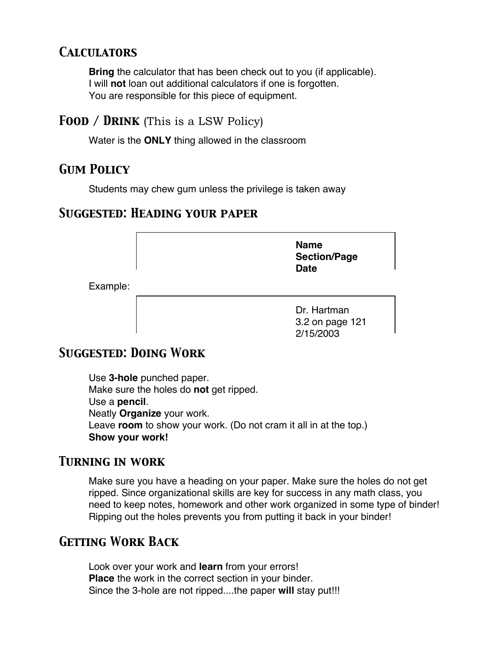# *Calculators*

**Bring** the calculator that has been check out to you (if applicable). I will **not** loan out additional calculators if one is forgotten. You are responsible for this piece of equipment.

## *Food / Drink* (This is a LSW Policy)

Water is the **ONLY** thing allowed in the classroom

# *Gum Policy*

Students may chew gum unless the privilege is taken away

## *Suggested: Heading your paper*

**Name Section/Page Date**

Example:

Dr. Hartman 3.2 on page 121 2/15/2003

# *Suggested: Doing Work*

Use **3-hole** punched paper. Make sure the holes do **not** get ripped. Use a **pencil**. Neatly **Organize** your work. Leave **room** to show your work. (Do not cram it all in at the top.) **Show your work!**

## *Turning in work*

Make sure you have a heading on your paper. Make sure the holes do not get ripped. Since organizational skills are key for success in any math class, you need to keep notes, homework and other work organized in some type of binder! Ripping out the holes prevents you from putting it back in your binder!

## *Getting Work Back*

Look over your work and **learn** from your errors! **Place** the work in the correct section in your binder. Since the 3-hole are not ripped....the paper **will** stay put!!!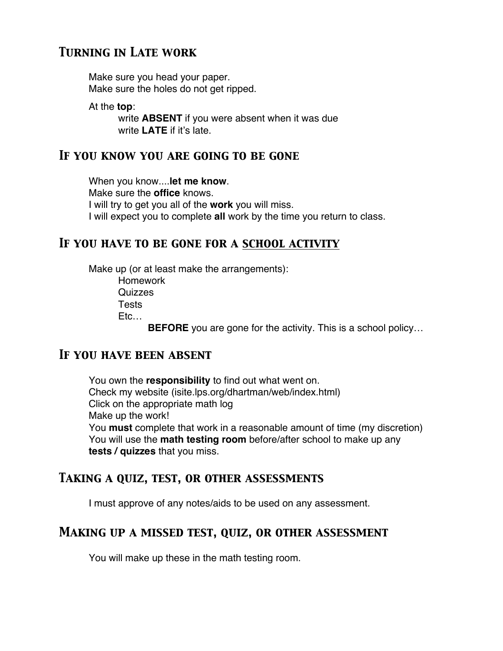# *Turning in Late work*

Make sure you head your paper. Make sure the holes do not get ripped.

At the **top**:

write **ABSENT** if you were absent when it was due write **LATE** if it's late.

#### *If you know you are going to be gone*

When you know....**let me know**. Make sure the **office** knows. I will try to get you all of the **work** you will miss. I will expect you to complete **all** work by the time you return to class.

## *If you have to be gone for a school activity*

Make up (or at least make the arrangements): Homework Quizzes **Tests** Etc… **BEFORE** you are gone for the activity. This is a school policy…

#### *If you have been absent*

You own the **responsibility** to find out what went on. Check my website (isite.lps.org/dhartman/web/index.html) Click on the appropriate math log Make up the work! You **must** complete that work in a reasonable amount of time (my discretion) You will use the **math testing room** before/after school to make up any **tests / quizzes** that you miss.

## *Taking a quiz, test, or other assessments*

I must approve of any notes/aids to be used on any assessment.

## *Making up a missed test, quiz, or other assessment*

You will make up these in the math testing room.